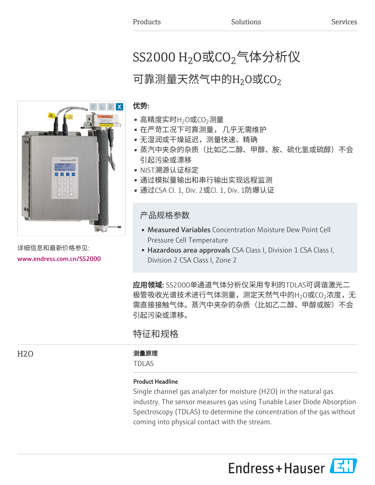# SS2000  $\rm H_2$ O或CO $_2$ 气体分析仪

## 可靠测量天然气中的 $\rm{H}_{2}$ O或CO $_{2}$

### 优势:

- 高精度实时H<sub>2</sub>O或CO<sub>2</sub>测量
- 在严苛工况下可靠测量, 几乎无需维护
- 无湿润或干燥延迟,测量快速、精确
- 蒸汽中夹杂的杂质(比如乙二醇、甲醇、胺、硫化氢或硫醇)不会 引起污染或漂移
- NIST溯源认证标定
- 通过模拟量输出和串行输出实现远程监测
- 通过CSA Cl. 1, Div. 2或Cl. 1, Div. 1防爆认证

## 产品规格参数

- Measured Variables Concentration Moisture Dew Point Cell Pressure Cell Temperature
- Hazardous area approvals CSA Class I, Division 1 CSA Class I, Division 2 CSA Class I, Zone 2

应用领域: SS2000单通道气体分析仪采用专利的TDLAS可调谐激光二 极管吸收光谱技术进行气体测量,测定天然气中的H $_2$ O或CO $_2$ 浓度,无 需直接接触气体。蒸汽中夹杂的杂质(比如乙二醇、甲醇或胺)不会 引起污染或漂移。

## 特征和规格

#### H2O 2000 2000 2000 2000 测量原理

TDLAS

#### Product Headline

Single channel gas analyzer for moisture (H2O) in the natural gas industry. The sensor measures gas using Tunable Laser Diode Absorption Spectroscopy (TDLAS) to determine the concentration of the gas without coming into physical contact with the stream.





详细信息和最新价格参见: [www.endress.com.cn/SS2000](https://www.endress.com.cn/SS2000)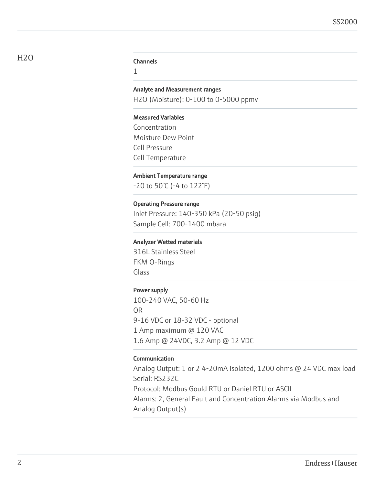1

#### Analyte and Measurement ranges

H2O (Moisture): 0-100 to 0-5000 ppmv

#### Measured Variables

Concentration Moisture Dew Point Cell Pressure Cell Temperature

#### Ambient Temperature range

-20 to 50°C (-4 to 122°F)

#### Operating Pressure range

Inlet Pressure: 140-350 kPa (20-50 psig) Sample Cell: 700-1400 mbara

#### Analyzer Wetted materials

316L Stainless Steel FKM O-Rings Glass

#### Power supply

100-240 VAC, 50-60 Hz OR 9-16 VDC or 18-32 VDC - optional 1 Amp maximum @ 120 VAC 1.6 Amp @ 24VDC, 3.2 Amp @ 12 VDC

#### Communication

Analog Output: 1 or 2 4-20mA Isolated, 1200 ohms @ 24 VDC max load Serial: RS232C Protocol: Modbus Gould RTU or Daniel RTU or ASCII Alarms: 2, General Fault and Concentration Alarms via Modbus and Analog Output(s)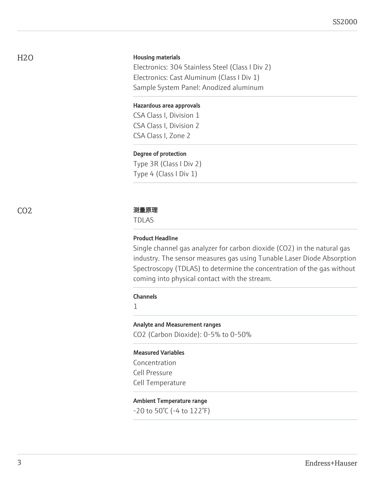H2O

#### Housing materials

Electronics: 304 Stainless Steel (Class I Div 2) Electronics: Cast Aluminum (Class I Div 1) Sample System Panel: Anodized aluminum

#### Hazardous area approvals

CSA Class I, Division 1 CSA Class I, Division 2 CSA Class I, Zone 2

#### Degree of protection

Type 3R (Class I Div 2) Type 4 (Class I Div 1)

#### CO2 测量原理

TDLAS

#### Product Headline

Single channel gas analyzer for carbon dioxide (CO2) in the natural gas industry. The sensor measures gas using Tunable Laser Diode Absorption Spectroscopy (TDLAS) to determine the concentration of the gas without coming into physical contact with the stream.

#### **Channels**

1

#### Analyte and Measurement ranges

CO2 (Carbon Dioxide): 0-5% to 0-50%

#### Measured Variables

Concentration Cell Pressure Cell Temperature

#### Ambient Temperature range

-20 to 50°C (-4 to 122°F)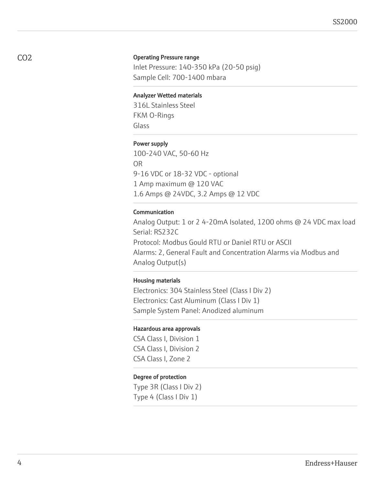#### Operating Pressure range

Inlet Pressure: 140-350 kPa (20-50 psig) Sample Cell: 700-1400 mbara

#### Analyzer Wetted materials

316L Stainless Steel FKM O-Rings Glass

#### Power supply

100-240 VAC, 50-60 Hz OR 9-16 VDC or 18-32 VDC - optional 1 Amp maximum @ 120 VAC 1.6 Amps @ 24VDC, 3.2 Amps @ 12 VDC

#### Communication

Analog Output: 1 or 2 4-20mA Isolated, 1200 ohms @ 24 VDC max load Serial: RS232C Protocol: Modbus Gould RTU or Daniel RTU or ASCII Alarms: 2, General Fault and Concentration Alarms via Modbus and Analog Output(s)

#### Housing materials

Electronics: 304 Stainless Steel (Class I Div 2) Electronics: Cast Aluminum (Class I Div 1) Sample System Panel: Anodized aluminum

#### Hazardous area approvals

CSA Class I, Division 1 CSA Class I, Division 2 CSA Class I, Zone 2

#### Degree of protection

Type 3R (Class I Div 2) Type 4 (Class I Div 1)